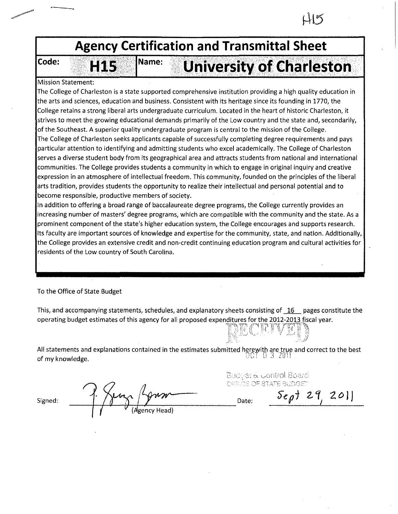

To the Office of State Budget

This, and accompanying statements, schedules, and explanatory sheets consisting of  $\overline{16}$ . pages constitute the operating budget estimates of this agency for all proposed expenditures for the 2012-2013 fiscal year.

All statements and explanations contained in the estimates submitted herewith are true and correct to the best<br>  $\begin{bmatrix} 0 & 9 & 2011 \\ 0 & 9 & 2011 \end{bmatrix}$ of my knowledge.

 $S_{\text{igned:}}$  <sup>1</sup>  $\frac{1}{2}$   $\frac{1}{2}$   $\frac{1}{201}$ 

Gudder & Control Board OFFICE OF STATE BUDGET

TACE IVE ! ";,:·: ,\_.. . ;'/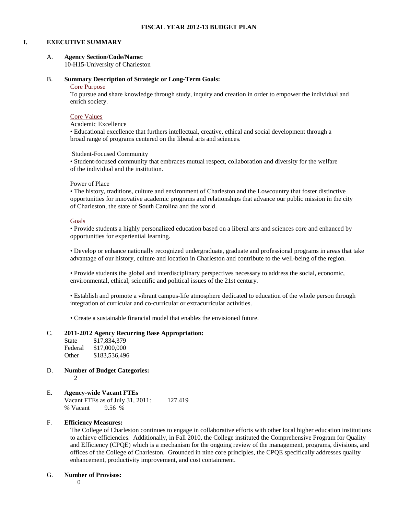#### **I. EXECUTIVE SUMMARY**

### A. **Agency Section/Code/Name:**

10-H15-University of Charleston

#### B. **Summary Description of Strategic or Long-Term Goals:**

#### Core Purpose

To pursue and share knowledge through study, inquiry and creation in order to empower the individual and enrich society.

## Core Values

Academic Excellence

• Educational excellence that furthers intellectual, creative, ethical and social development through a broad range of programs centered on the liberal arts and sciences.

Student-Focused Community

• Student-focused community that embraces mutual respect, collaboration and diversity for the welfare of the individual and the institution.

#### Power of Place

• The history, traditions, culture and environment of Charleston and the Lowcountry that foster distinctive opportunities for innovative academic programs and relationships that advance our public mission in the city of Charleston, the state of South Carolina and the world.

#### Goals

• Provide students a highly personalized education based on a liberal arts and sciences core and enhanced by opportunities for experiential learning.

• Develop or enhance nationally recognized undergraduate, graduate and professional programs in areas that take advantage of our history, culture and location in Charleston and contribute to the well-being of the region.

• Provide students the global and interdisciplinary perspectives necessary to address the social, economic, environmental, ethical, scientific and political issues of the 21st century.

• Establish and promote a vibrant campus-life atmosphere dedicated to education of the whole person through integration of curricular and co-curricular or extracurricular activities.

• Create a sustainable financial model that enables the envisioned future.

#### C. **2011-2012 Agency Recurring Base Appropriation:**

| State   | \$17,834,379  |
|---------|---------------|
| Federal | \$17,000,000  |
| Other   | \$183,536,496 |

D. **Number of Budget Categories:** 2

# E. **Agency-wide Vacant FTEs**

Vacant FTEs as of July 31, 2011: 127.419 % Vacant 9.56 %

#### F. **Efficiency Measures:**

The College of Charleston continues to engage in collaborative efforts with other local higher education institutions to achieve efficiencies. Additionally, in Fall 2010, the College instituted the Comprehensive Program for Quality and Efficiency (CPQE) which is a mechanism for the ongoing review of the management, programs, divisions, and offices of the College of Charleston. Grounded in nine core principles, the CPQE specifically addresses quality enhancement, productivity improvement, and cost containment.

#### G. **Number of Provisos:**

 $\Omega$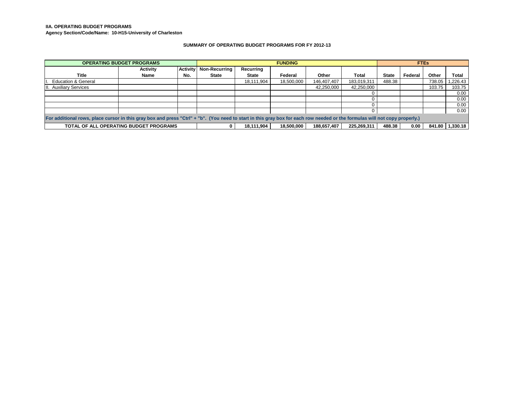#### **IIA. OPERATING BUDGET PROGRAMS**

**Agency Section/Code/Name: 10-H15-University of Charleston**

#### **SUMMARY OF OPERATING BUDGET PROGRAMS FOR FY 2012-13**

|                                | <b>OPERATING BUDGET PROGRAMS</b>                                                                                                                                            |                 | <b>FUNDING</b>       |              |            |             | <b>FTEs</b> |              |         |        |          |
|--------------------------------|-----------------------------------------------------------------------------------------------------------------------------------------------------------------------------|-----------------|----------------------|--------------|------------|-------------|-------------|--------------|---------|--------|----------|
|                                | <b>Activity</b>                                                                                                                                                             | <b>Activity</b> | <b>Non-Recurring</b> | Recurring    |            |             |             |              |         |        |          |
| <b>Title</b>                   | Name                                                                                                                                                                        | No.             | State                | <b>State</b> | Federal    | Other       | Total       | <b>State</b> | Federal | Other  | Total    |
| <b>Education &amp; General</b> |                                                                                                                                                                             |                 |                      | 18,111,904   | 18,500,000 | 146,407,407 | 183,019,311 | 488.38       |         | 738.05 | l,226.43 |
| <b>III.</b> Auxiliary Services |                                                                                                                                                                             |                 |                      |              |            | 42,250,000  | 42,250,000  |              |         | 103.75 | 103.75   |
|                                |                                                                                                                                                                             |                 |                      |              |            |             |             |              |         |        | 0.00     |
|                                |                                                                                                                                                                             |                 |                      |              |            |             |             |              |         |        | 0.00     |
|                                |                                                                                                                                                                             |                 |                      |              |            |             |             |              |         |        | 0.00     |
|                                |                                                                                                                                                                             |                 |                      |              |            |             |             |              |         |        | 0.00     |
|                                | For additional rows, place cursor in this gray box and press "Ctrl" + "b". (You need to start in this gray box for each row needed or the formulas will not copy properly.) |                 |                      |              |            |             |             |              |         |        |          |
|                                | TOTAL OF ALL OPERATING BUDGET PROGRAMS<br>488.38<br>841.80<br>188.657.407<br>225.269.311<br>0.00<br>18.111.904<br>18.500.000                                                |                 |                      |              |            |             | 1.330.18    |              |         |        |          |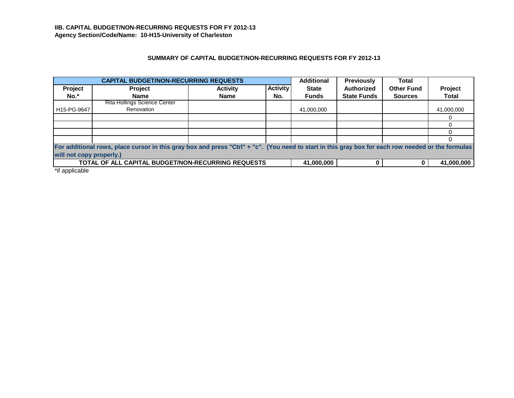# **SUMMARY OF CAPITAL BUDGET/NON-RECURRING REQUESTS FOR FY 2012-13**

|             | <b>CAPITAL BUDGET/NON-RECURRING REQUESTS</b>                                                                                                                                   |                 |                 | <b>Additional</b> | <b>Previously</b>  | <b>Total</b>      |            |  |
|-------------|--------------------------------------------------------------------------------------------------------------------------------------------------------------------------------|-----------------|-----------------|-------------------|--------------------|-------------------|------------|--|
| Project     | Project                                                                                                                                                                        | <b>Activity</b> | <b>Activity</b> | <b>State</b>      | <b>Authorized</b>  | <b>Other Fund</b> | Project    |  |
| No.*        | <b>Name</b>                                                                                                                                                                    | <b>Name</b>     | No.             | <b>Funds</b>      | <b>State Funds</b> | <b>Sources</b>    | Total      |  |
|             | Rita Hollings Science Center                                                                                                                                                   |                 |                 |                   |                    |                   |            |  |
| H15-PG-9647 | Renovation                                                                                                                                                                     |                 |                 | 41,000,000        |                    |                   | 41,000,000 |  |
|             |                                                                                                                                                                                |                 |                 |                   |                    |                   |            |  |
|             |                                                                                                                                                                                |                 |                 |                   |                    |                   |            |  |
|             |                                                                                                                                                                                |                 |                 |                   |                    |                   |            |  |
|             |                                                                                                                                                                                |                 |                 |                   |                    |                   |            |  |
|             | For additional rows, place cursor in this gray box and press "Ctrl" + "c". (You need to start in this gray box for each row needed or the formulas<br>will not copy properly.) |                 |                 |                   |                    |                   |            |  |
|             | TOTAL OF ALL CAPITAL BUDGET/NON-RECURRING REQUESTS                                                                                                                             |                 |                 | 41,000,000        |                    |                   | 41,000,000 |  |

\*if applicable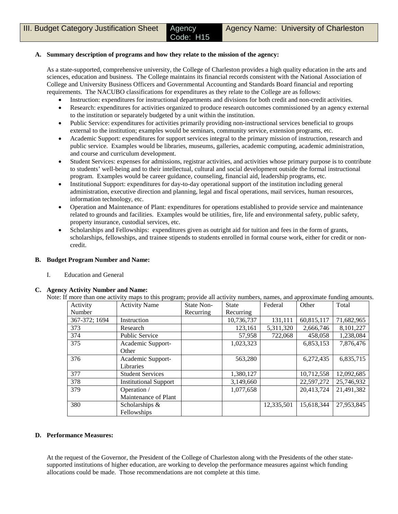### **A. Summary description of programs and how they relate to the mission of the agency:**

As a state-supported, comprehensive university, the College of Charleston provides a high quality education in the arts and sciences, education and business. The College maintains its financial records consistent with the National Association of College and University Business Officers and Governmental Accounting and Standards Board financial and reporting requirements. The NACUBO classifications for expenditures as they relate to the College are as follows:

- Instruction: expenditures for instructional departments and divisions for both credit and non-credit activities.
- Research: expenditures for activities organized to produce research outcomes commissioned by an agency external to the institution or separately budgeted by a unit within the institution.
- Public Service: expenditures for activities primarily providing non-instructional services beneficial to groups external to the institution; examples would be seminars, community service, extension programs, etc.
- Academic Support: expenditures for support services integral to the primary mission of instruction, research and public service. Examples would be libraries, museums, galleries, academic computing, academic administration, and course and curriculum development.
- Student Services: expenses for admissions, registrar activities, and activities whose primary purpose is to contribute to students' well-being and to their intellectual, cultural and social development outside the formal instructional program. Examples would be career guidance, counseling, financial aid, leadership programs, etc.
- Institutional Support: expenditures for day-to-day operational support of the institution including general administration, executive direction and planning, legal and fiscal operations, mail services, human resources, information technology, etc.
- Operation and Maintenance of Plant: expenditures for operations established to provide service and maintenance related to grounds and facilities. Examples would be utilities, fire, life and environmental safety, public safety, property insurance, custodial services, etc.
- Scholarships and Fellowships: expenditures given as outright aid for tuition and fees in the form of grants, scholarships, fellowships, and trainee stipends to students enrolled in formal course work, either for credit or noncredit.

#### **B. Budget Program Number and Name:**

I. Education and General

#### **C. Agency Activity Number and Name:**

|  |  | Note: If more than one activity maps to this program; provide all activity numbers, names, and approximate funding amounts. |  |
|--|--|-----------------------------------------------------------------------------------------------------------------------------|--|
|  |  |                                                                                                                             |  |

| Activity      | <b>Activity Name</b>         | State Non- | <b>State</b> | Federal    | Other      | Total      |
|---------------|------------------------------|------------|--------------|------------|------------|------------|
| Number        |                              | Recurring  | Recurring    |            |            |            |
| 367-372; 1694 | Instruction                  |            | 10,736,737   | 131,111    | 60,815,117 | 71,682,965 |
| 373           | Research                     |            | 123,161      | 5,311,320  | 2,666,746  | 8,101,227  |
| 374           | <b>Public Service</b>        |            | 57,958       | 722,068    | 458,058    | 1,238,084  |
| 375           | Academic Support-            |            | 1,023,323    |            | 6,853,153  | 7,876,476  |
|               | Other                        |            |              |            |            |            |
| 376           | Academic Support-            |            | 563,280      |            | 6,272,435  | 6,835,715  |
|               | Libraries                    |            |              |            |            |            |
| 377           | <b>Student Services</b>      |            | 1,380,127    |            | 10,712,558 | 12,092,685 |
| 378           | <b>Institutional Support</b> |            | 3,149,660    |            | 22,597,272 | 25,746,932 |
| 379           | Operation /                  |            | 1,077,658    |            | 20,413,724 | 21,491,382 |
|               | Maintenance of Plant         |            |              |            |            |            |
| 380           | Scholarships &               |            |              | 12,335,501 | 15,618,344 | 27,953,845 |
|               | Fellowships                  |            |              |            |            |            |

#### **D. Performance Measures:**

At the request of the Governor, the President of the College of Charleston along with the Presidents of the other statesupported institutions of higher education, are working to develop the performance measures against which funding allocations could be made. Those recommendations are not complete at this time.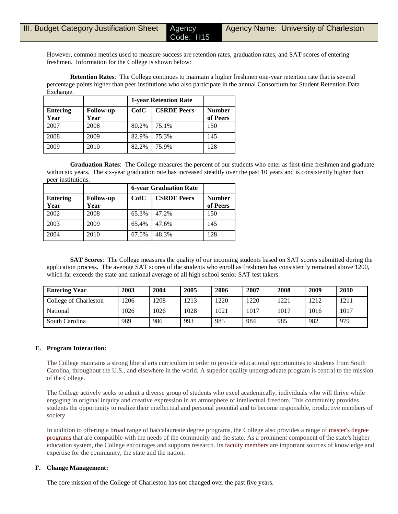Code: H15

However, common metrics used to measure success are retention rates, graduation rates, and SAT scores of entering freshmen. Information for the College is shown below:

**Retention Rates**: The College continues to maintain a higher freshmen one-year retention rate that is several percentage points higher than peer institutions who also participate in the annual Consortium for Student Retention Data Exchange.

|                         |                          | <b>1-year Retention Rate</b> |                    |                           |
|-------------------------|--------------------------|------------------------------|--------------------|---------------------------|
| <b>Entering</b><br>Year | <b>Follow-up</b><br>Year | CofC                         | <b>CSRDE Peers</b> | <b>Number</b><br>of Peers |
| 2007                    | 2008                     | 80.2%                        | 75.1%              | 150                       |
| 2008                    | 2009                     | 82.9%                        | 75.3%              | 145                       |
| 2009                    | 2010                     | 82.2%                        | 75.9%              | 128                       |

**Graduation Rates**: The College measures the percent of our students who enter as first-time freshmen and graduate within six years. The six-year graduation rate has increased steadily over the past 10 years and is consistently higher than peer institutions.

|                         |                          | <b>6-year Graduation Rate</b> |                    |                           |
|-------------------------|--------------------------|-------------------------------|--------------------|---------------------------|
| <b>Entering</b><br>Year | <b>Follow-up</b><br>Year | CofC                          | <b>CSRDE Peers</b> | <b>Number</b><br>of Peers |
| 2002                    | 2008                     | 65.3%                         | 47.2%              | 150                       |
| 2003                    | 2009                     | 65.4%                         | 47.6%              | 145                       |
| 2004                    | 2010                     | 67.0%                         | 48.3%              | 128                       |

**SAT Scores**: The College measures the quality of our incoming students based on SAT scores submitted during the application process. The average SAT scores of the students who enroll as freshmen has consistently remained above 1200, which far exceeds the state and national average of all high school senior SAT test takers.

| <b>Entering Year</b>  | 2003 | 2004 | 2005 | 2006 | 2007 | 2008 | 2009 | 2010 |
|-----------------------|------|------|------|------|------|------|------|------|
| College of Charleston | 1206 | 1208 | 1213 | 1220 | 1220 | 1221 | 1212 | 1211 |
| <b>National</b>       | 1026 | 1026 | 1028 | 1021 | 1017 | 1017 | 1016 | 1017 |
| South Carolina        | 989  | 986  | 993  | 985  | 984  | 985  | 982  | 979  |

## **E. Program Interaction:**

The College maintains a strong liberal arts curriculum in order to provide educational opportunities to students from South Carolina, throughout the U.S., and elsewhere in the world. A superior quality undergraduate program is central to the mission of the College.

The College actively seeks to admit a diverse group of students who excel academically, individuals who will thrive while engaging in original inquiry and creative expression in an atmosphere of intellectual freedom. This community provides students the opportunity to realize their intellectual and personal potential and to become responsible, productive members of society.

In addition to offering a broad range of baccalaureate degree programs, the College also provides a range of master's degree programs that are compatible with the needs of the community and the state. As a prominent component of the state's higher education system, the College encourages and supports research. Its faculty members are important sources of knowledge and expertise for the community, the state and the nation.

## **F. Change Management:**

The core mission of the College of Charleston has not changed over the past five years.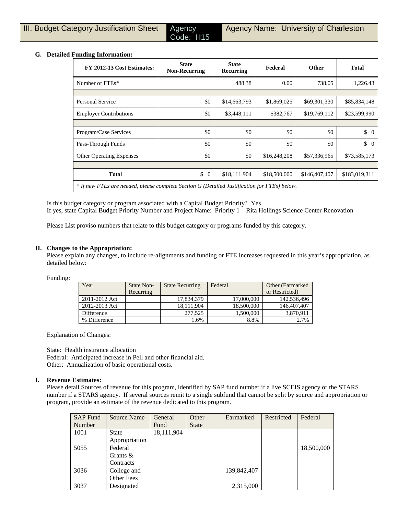Code: H15

## **G. Detailed Funding Information:**

| -<br>FY 2012-13 Cost Estimates:                                                              | <b>State</b><br><b>Non-Recurring</b> | <b>State</b><br>Recurring | Federal      | <b>Other</b>  | <b>Total</b>         |
|----------------------------------------------------------------------------------------------|--------------------------------------|---------------------------|--------------|---------------|----------------------|
| Number of FTEs*                                                                              |                                      | 488.38                    | 0.00         | 738.05        | 1,226.43             |
|                                                                                              |                                      |                           |              |               |                      |
| <b>Personal Service</b>                                                                      | \$0                                  | \$14,663,793              | \$1,869,025  | \$69,301,330  | \$85,834,148         |
| <b>Employer Contributions</b>                                                                | \$0                                  | \$3,448,111               | \$382,767    | \$19,769,112  | \$23,599,990         |
|                                                                                              |                                      |                           |              |               |                      |
| Program/Case Services                                                                        | \$0                                  | \$0                       | \$0          | \$0           | \$<br>$\overline{0}$ |
| Pass-Through Funds                                                                           | \$0                                  | \$0                       | \$0          | \$0           | $\updownarrow$ 0     |
| <b>Other Operating Expenses</b>                                                              | \$0                                  | \$0                       | \$16,248,208 | \$57,336,965  | \$73,585,173         |
|                                                                                              |                                      |                           |              |               |                      |
| <b>Total</b>                                                                                 | \$<br>$\overline{0}$                 | \$18,111,904              | \$18,500,000 | \$146,407,407 | \$183,019,311        |
| * If new FTEs are needed, please complete Section G (Detailed Justification for FTEs) below. |                                      |                           |              |               |                      |

Is this budget category or program associated with a Capital Budget Priority? Yes

If yes, state Capital Budget Priority Number and Project Name: Priority 1 – Rita Hollings Science Center Renovation

Please List proviso numbers that relate to this budget category or programs funded by this category.

## **H. Changes to the Appropriation:**

Please explain any changes, to include re-alignments and funding or FTE increases requested in this year's appropriation, as detailed below:

Funding:

| Year          | State Non- | <b>State Recurring</b> | Federal    | Other (Earmarked) |
|---------------|------------|------------------------|------------|-------------------|
|               | Recurring  |                        |            | or Restricted)    |
| 2011-2012 Act |            | 17.834.379             | 17,000,000 | 142,536,496       |
| 2012-2013 Act |            | 18.111.904             | 18,500,000 | 146,407,407       |
| Difference    |            | 277,525                | 1,500,000  | 3,870,911         |
| % Difference  |            | .6%                    | 8.8%       | 2.7%              |

Explanation of Changes:

State: Health insurance allocation Federal: Anticipated increase in Pell and other financial aid. Other: Annualization of basic operational costs.

## **I. Revenue Estimates:**

Please detail Sources of revenue for this program, identified by SAP fund number if a live SCEIS agency or the STARS number if a STARS agency. If several sources remit to a single subfund that cannot be split by source and appropriation or program, provide an estimate of the revenue dedicated to this program.

| <b>SAP Fund</b> | <b>Source Name</b> | General    | Other        | Earmarked   | Restricted | Federal    |
|-----------------|--------------------|------------|--------------|-------------|------------|------------|
| Number          |                    | Fund       | <b>State</b> |             |            |            |
| 1001            | <b>State</b>       | 18,111,904 |              |             |            |            |
|                 | Appropriation      |            |              |             |            |            |
| 5055            | Federal            |            |              |             |            | 18,500,000 |
|                 | Grants $\&$        |            |              |             |            |            |
|                 | Contracts          |            |              |             |            |            |
| 3036            | College and        |            |              | 139,842,407 |            |            |
|                 | Other Fees         |            |              |             |            |            |
| 3037            | Designated         |            |              | 2,315,000   |            |            |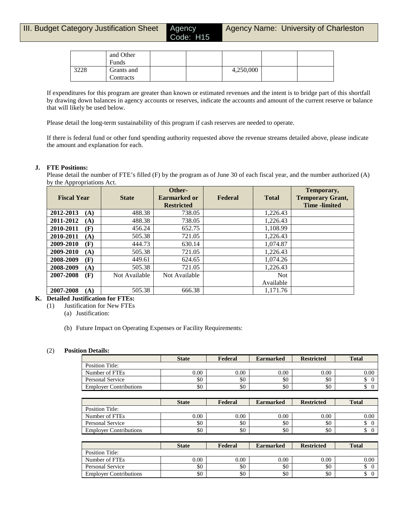|      | and Other  |  |           |  |
|------|------------|--|-----------|--|
|      | Funds      |  |           |  |
| 3228 | Grants and |  | 4,250,000 |  |
|      | Contracts  |  |           |  |

If expenditures for this program are greater than known or estimated revenues and the intent is to bridge part of this shortfall by drawing down balances in agency accounts or reserves, indicate the accounts and amount of the current reserve or balance that will likely be used below.

Please detail the long-term sustainability of this program if cash reserves are needed to operate.

If there is federal fund or other fund spending authority requested above the revenue streams detailed above, please indicate the amount and explanation for each.

### **J. FTE Positions:**

Please detail the number of FTE's filled (F) by the program as of June 30 of each fiscal year, and the number authorized (A) by the Appropriations Act.

| <b>Fiscal Year</b> | <b>State</b>  | Other-<br>Earmarked or<br><b>Restricted</b> | Federal | <b>Total</b> | Temporary,<br><b>Temporary Grant,</b><br><b>Time</b> -limited |
|--------------------|---------------|---------------------------------------------|---------|--------------|---------------------------------------------------------------|
| 2012-2013<br>(A)   | 488.38        | 738.05                                      |         | 1,226.43     |                                                               |
| 2011-2012<br>(A)   | 488.38        | 738.05                                      |         | 1,226.43     |                                                               |
| 2010-2011<br>(F)   | 456.24        | 652.75                                      |         | 1.108.99     |                                                               |
| 2010-2011<br>(A)   | 505.38        | 721.05                                      |         | 1,226.43     |                                                               |
| 2009-2010<br>(F)   | 444.73        | 630.14                                      |         | 1,074.87     |                                                               |
| 2009-2010<br>(A)   | 505.38        | 721.05                                      |         | 1,226.43     |                                                               |
| 2008-2009<br>(F)   | 449.61        | 624.65                                      |         | 1.074.26     |                                                               |
| 2008-2009<br>(A)   | 505.38        | 721.05                                      |         | 1.226.43     |                                                               |
| 2007-2008<br>(F)   | Not Available | Not Available                               |         | <b>Not</b>   |                                                               |
|                    |               |                                             |         | Available    |                                                               |
| 2007-2008<br>(A)   | 505.38        | 666.38                                      |         | 1.171.76     |                                                               |

## **K. Detailed Justification for FTEs:**

- (1) Justification for New FTEs
	- (a) Justification:
	- (b) Future Impact on Operating Expenses or Facility Requirements:

#### (2) **Position Details:**

|                               | <b>State</b> | Federal | <b>Earmarked</b> | <b>Restricted</b> | <b>Total</b> |
|-------------------------------|--------------|---------|------------------|-------------------|--------------|
| Position Title:               |              |         |                  |                   |              |
| Number of FTEs                | $0.00\,$     | 0.00    | 0.00             | 0.00              | 0.00         |
| <b>Personal Service</b>       | \$0          | \$0     | \$0              | \$0               |              |
| <b>Employer Contributions</b> | \$0          | \$0     | \$0              | \$0               |              |

|                               | <b>State</b> | Federal  | <b>Earmarked</b> | <b>Restricted</b> | <b>Total</b> |
|-------------------------------|--------------|----------|------------------|-------------------|--------------|
| Position Title:               |              |          |                  |                   |              |
| Number of FTEs                | $0.00\,$     | $0.00\,$ | 0.00             | 0.00              | 0.00         |
| Personal Service              | \$0          | \$0      | \$0              | \$0               | ۰            |
| <b>Employer Contributions</b> | \$0          | \$0      | \$0              | \$0               | ◡            |

|                               | <b>State</b> | Federal | <b>Earmarked</b> | <b>Restricted</b> | <b>Total</b> |
|-------------------------------|--------------|---------|------------------|-------------------|--------------|
| Position Title:               |              |         |                  |                   |              |
| Number of FTEs                | $0.00\,$     | 0.00    | 0.00             | 0.00              | 0.00         |
| Personal Service              | \$0          | \$0     | \$0              | \$0               |              |
| <b>Employer Contributions</b> | \$0          | \$0     | \$0              | \$0               | D            |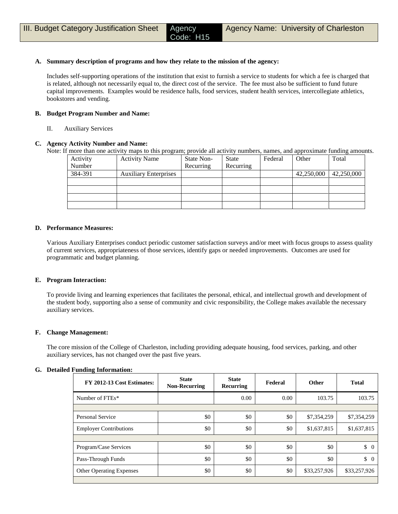### **A. Summary description of programs and how they relate to the mission of the agency:**

Includes self-supporting operations of the institution that exist to furnish a service to students for which a fee is charged that is related, although not necessarily equal to, the direct cost of the service. The fee must also be sufficient to fund future capital improvements. Examples would be residence halls, food services, student health services, intercollegiate athletics, bookstores and vending.

### **B. Budget Program Number and Name:**

II. Auxiliary Services

### **C. Agency Activity Number and Name:**

Note: If more than one activity maps to this program; provide all activity numbers, names, and approximate funding amounts.

| Activity | <b>Activity Name</b>         | State Non- | <b>State</b> | Federal | Other      | Total      |
|----------|------------------------------|------------|--------------|---------|------------|------------|
| Number   |                              | Recurring  | Recurring    |         |            |            |
| 384-391  | <b>Auxiliary Enterprises</b> |            |              |         | 42,250,000 | 42,250,000 |
|          |                              |            |              |         |            |            |
|          |                              |            |              |         |            |            |
|          |                              |            |              |         |            |            |
|          |                              |            |              |         |            |            |

#### **D. Performance Measures:**

Various Auxiliary Enterprises conduct periodic customer satisfaction surveys and/or meet with focus groups to assess quality of current services, appropriateness of those services, identify gaps or needed improvements. Outcomes are used for programmatic and budget planning.

#### **E. Program Interaction:**

To provide living and learning experiences that facilitates the personal, ethical, and intellectual growth and development of the student body, supporting also a sense of community and civic responsibility, the College makes available the necessary auxiliary services.

## **F. Change Management:**

The core mission of the College of Charleston, including providing adequate housing, food services, parking, and other auxiliary services, has not changed over the past five years.

#### **G. Detailed Funding Information:**

| FY 2012-13 Cost Estimates:      | <b>State</b><br><b>Non-Recurring</b> | <b>State</b><br>Recurring | Federal | <b>Other</b> | <b>Total</b>                    |
|---------------------------------|--------------------------------------|---------------------------|---------|--------------|---------------------------------|
| Number of FTEs*                 |                                      | 0.00                      | 0.00    | 103.75       | 103.75                          |
|                                 |                                      |                           |         |              |                                 |
| Personal Service                | \$0                                  | \$0                       | \$0     | \$7,354,259  | \$7,354,259                     |
| <b>Employer Contributions</b>   | \$0                                  | \$0                       | \$0     | \$1,637,815  | \$1,637,815                     |
|                                 |                                      |                           |         |              |                                 |
| Program/Case Services           | \$0                                  | \$0                       | \$0     | \$0          | $\begin{matrix} 0 \end{matrix}$ |
| Pass-Through Funds              | \$0                                  | \$0                       | \$0     | \$0          | $\updownarrow$ 0                |
| <b>Other Operating Expenses</b> | \$0                                  | \$0                       | \$0     | \$33,257,926 | \$33,257,926                    |
|                                 |                                      |                           |         |              |                                 |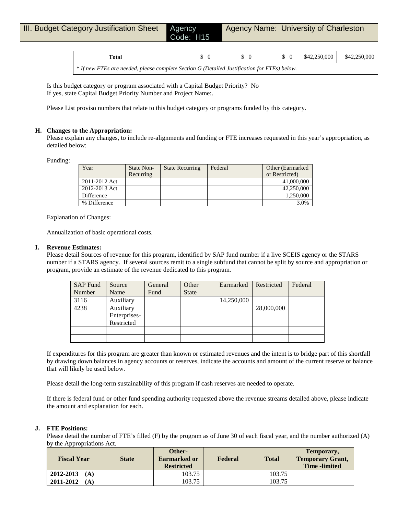| Total                                                                                        |  |  | $$42,250,000$ $$42,250,000$ |
|----------------------------------------------------------------------------------------------|--|--|-----------------------------|
| * If new FTEs are needed, please complete Section G (Detailed Justification for FTEs) below. |  |  |                             |

Is this budget category or program associated with a Capital Budget Priority? No If yes, state Capital Budget Priority Number and Project Name:.

Please List proviso numbers that relate to this budget category or programs funded by this category.

### **H. Changes to the Appropriation:**

Please explain any changes, to include re-alignments and funding or FTE increases requested in this year's appropriation, as detailed below:

Funding:

| Year          | State Non- | <b>State Recurring</b> | Federal | Other (Earmarked) |
|---------------|------------|------------------------|---------|-------------------|
|               | Recurring  |                        |         | or Restricted)    |
| 2011-2012 Act |            |                        |         | 41,000,000        |
| 2012-2013 Act |            |                        |         | 42,250,000        |
| Difference    |            |                        |         | 1.250,000         |
| % Difference  |            |                        |         | 3.0%              |

Explanation of Changes:

Annualization of basic operational costs.

#### **I. Revenue Estimates:**

Please detail Sources of revenue for this program, identified by SAP fund number if a live SCEIS agency or the STARS number if a STARS agency. If several sources remit to a single subfund that cannot be split by source and appropriation or program, provide an estimate of the revenue dedicated to this program.

| SAP Fund | Source       | General | Other        | Earmarked  | Restricted | Federal |
|----------|--------------|---------|--------------|------------|------------|---------|
| Number   | Name         | Fund    | <b>State</b> |            |            |         |
| 3116     | Auxiliary    |         |              | 14,250,000 |            |         |
| 4238     | Auxiliary    |         |              |            | 28,000,000 |         |
|          | Enterprises- |         |              |            |            |         |
|          | Restricted   |         |              |            |            |         |
|          |              |         |              |            |            |         |
|          |              |         |              |            |            |         |

If expenditures for this program are greater than known or estimated revenues and the intent is to bridge part of this shortfall by drawing down balances in agency accounts or reserves, indicate the accounts and amount of the current reserve or balance that will likely be used below.

Please detail the long-term sustainability of this program if cash reserves are needed to operate.

If there is federal fund or other fund spending authority requested above the revenue streams detailed above, please indicate the amount and explanation for each.

#### **J. FTE Positions:**

Please detail the number of FTE's filled (F) by the program as of June 30 of each fiscal year, and the number authorized (A) by the Appropriations Act.

| <b>Fiscal Year</b> | <b>State</b> | Other-<br>Earmarked or<br><b>Restricted</b> | Federal | <b>Total</b> | Temporary,<br><b>Temporary Grant,</b><br><b>Time</b> -limited |
|--------------------|--------------|---------------------------------------------|---------|--------------|---------------------------------------------------------------|
| 2012-2013<br>(A)   |              | 103.75                                      |         | 103.75       |                                                               |
| 2011-2012<br>(A)   |              | 103.75                                      |         | 103.75       |                                                               |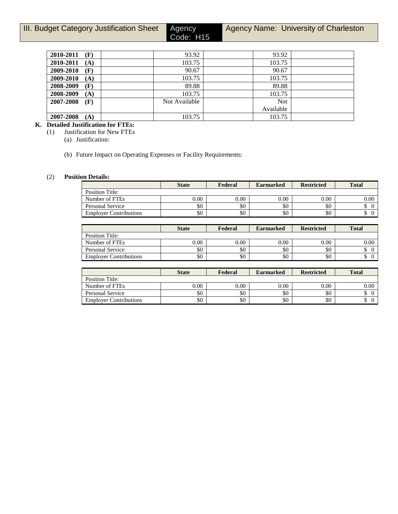Agency<br>Code: H15

Agency Name: University of Charleston

| 2010-2011<br>(F) | 93.92         | 93.92      |  |
|------------------|---------------|------------|--|
| 2010-2011<br>(A) | 103.75        | 103.75     |  |
| 2009-2010<br>(F) | 90.67         | 90.67      |  |
| 2009-2010<br>(A) | 103.75        | 103.75     |  |
| 2008-2009<br>(F) | 89.88         | 89.88      |  |
| 2008-2009<br>(A) | 103.75        | 103.75     |  |
| 2007-2008<br>(F) | Not Available | <b>Not</b> |  |
|                  |               | Available  |  |
| 2007-2008<br>(A) | 103.75        | 103.75     |  |

# **K. Detailed Justification for FTEs:**

(1) Justification for New FTEs

(a) Justification:

(b) Future Impact on Operating Expenses or Facility Requirements:

# (2) **Position Details:**

|                               | <b>State</b> | Federal | <b>Earmarked</b> | <b>Restricted</b> | <b>Total</b> |
|-------------------------------|--------------|---------|------------------|-------------------|--------------|
| Position Title:               |              |         |                  |                   |              |
| Number of FTEs                | $0.00\,$     | 0.00    | 0.00             | $0.00\,$          | 0.00         |
| <b>Personal Service</b>       | \$0          | \$0     | \$0              | \$0               |              |
| <b>Employer Contributions</b> | \$0          | \$0     | \$0              | \$0               |              |

|                               | <b>State</b> | Federal | <b>Earmarked</b> | <b>Restricted</b> | <b>Total</b> |
|-------------------------------|--------------|---------|------------------|-------------------|--------------|
| Position Title:               |              |         |                  |                   |              |
| Number of FTEs                | 0.00         | 0.00    | 0.00             | 0.00              | 0.00         |
| Personal Service              | \$0          | \$0     | \$0              | \$0               | ◡            |
| <b>Employer Contributions</b> | \$0          | \$0     | \$0              | \$0               | Φ            |

|                               | <b>State</b> | Federal | <b>Earmarked</b> | <b>Restricted</b> | <b>Total</b> |
|-------------------------------|--------------|---------|------------------|-------------------|--------------|
| Position Title:               |              |         |                  |                   |              |
| Number of FTEs                | 0.00         | 0.00    | 0.00             | 0.00              | 0.00         |
| Personal Service              | \$0          | \$0     | \$0              | \$0               | ◡            |
| <b>Employer Contributions</b> | \$0          | \$0     | \$0              | \$0               | ◡            |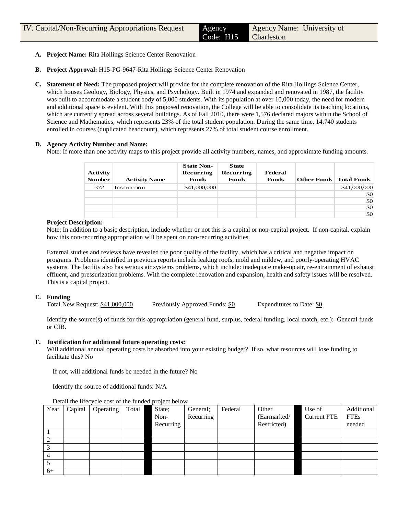- **A. Project Name:** Rita Hollings Science Center Renovation
- **B. Project Approval:** H15-PG-9647-Rita Hollings Science Center Renovation
- **C. Statement of Need:** The proposed project will provide for the complete renovation of the Rita Hollings Science Center, which houses Geology, Biology, Physics, and Psychology. Built in 1974 and expanded and renovated in 1987, the facility was built to accommodate a student body of 5,000 students. With its population at over 10,000 today, the need for modern and additional space is evident. With this proposed renovation, the College will be able to consolidate its teaching locations, which are currently spread across several buildings. As of Fall 2010, there were 1,576 declared majors within the School of Science and Mathematics, which represents 23% of the total student population. During the same time, 14,740 students enrolled in courses (duplicated headcount), which represents 27% of total student course enrollment.

## **D. Agency Activity Number and Name:**

Note: If more than one activity maps to this project provide all activity numbers, names, and approximate funding amounts.

| <b>Activity</b><br><b>Number</b> | <b>Activity Name</b> | <b>State Non-</b><br>Recurring<br><b>Funds</b> | <b>State</b><br>Recurring<br><b>Funds</b> | Federal<br><b>Funds</b> | Other Funds Total Funds |              |
|----------------------------------|----------------------|------------------------------------------------|-------------------------------------------|-------------------------|-------------------------|--------------|
| 372                              | Instruction          | \$41,000,000                                   |                                           |                         |                         | \$41,000,000 |
|                                  |                      |                                                |                                           |                         |                         | \$0          |
|                                  |                      |                                                |                                           |                         |                         | \$0          |
|                                  |                      |                                                |                                           |                         |                         | \$0          |
|                                  |                      |                                                |                                           |                         |                         | \$0          |

## **Project Description:**

Note: In addition to a basic description, include whether or not this is a capital or non-capital project. If non-capital, explain how this non-recurring appropriation will be spent on non-recurring activities.

External studies and reviews have revealed the poor quality of the facility, which has a critical and negative impact on programs. Problems identified in previous reports include leaking roofs, mold and mildew, and poorly-operating HVAC systems. The facility also has serious air systems problems, which include: inadequate make-up air, re-entrainment of exhaust effluent, and pressurization problems. With the complete renovation and expansion, health and safety issues will be resolved. This is a capital project.

## **E. Funding**

Total New Request: \$41,000,000 Previously Approved Funds: \$0 Expenditures to Date: \$0

Identify the source(s) of funds for this appropriation (general fund, surplus, federal funding, local match, etc.): General funds or CIB.

## **F. Justification for additional future operating costs:**

Will additional annual operating costs be absorbed into your existing budget? If so, what resources will lose funding to facilitate this? No

If not, will additional funds be needed in the future? No

Identify the source of additional funds: N/A

| Year | Capital | Operating | Total | State;    | General;  | Federal | Other       | Use of             | Additional  |
|------|---------|-----------|-------|-----------|-----------|---------|-------------|--------------------|-------------|
|      |         |           |       | Non-      | Recurring |         | (Earmarked/ | <b>Current FTE</b> | <b>FTEs</b> |
|      |         |           |       | Recurring |           |         | Restricted) |                    | needed      |
|      |         |           |       |           |           |         |             |                    |             |
|      |         |           |       |           |           |         |             |                    |             |
|      |         |           |       |           |           |         |             |                    |             |
|      |         |           |       |           |           |         |             |                    |             |
|      |         |           |       |           |           |         |             |                    |             |
| $6+$ |         |           |       |           |           |         |             |                    |             |

Detail the lifecycle cost of the funded project below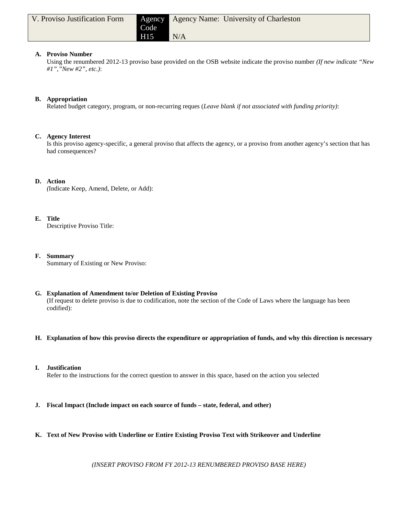| V. Proviso Justification Form | Code            | <b>Agency Agency Name: University of Charleston</b> |
|-------------------------------|-----------------|-----------------------------------------------------|
|                               | H <sub>15</sub> | N/A                                                 |

## **A. Proviso Number**

Using the renumbered 2012-13 proviso base provided on the OSB website indicate the proviso number *(If new indicate "New #1","New #2", etc.)*:

# **B. Appropriation**

Related budget category, program, or non-recurring reques (*Leave blank if not associated with funding priority)*:

## **C. Agency Interest**

Is this proviso agency-specific, a general proviso that affects the agency, or a proviso from another agency's section that has had consequences?

# **D. Action**

*(*Indicate Keep, Amend, Delete, or Add):

# **E. Title**

Descriptive Proviso Title:

## **F. Summary**

Summary of Existing or New Proviso:

# **G. Explanation of Amendment to/or Deletion of Existing Proviso**

(If request to delete proviso is due to codification, note the section of the Code of Laws where the language has been codified):

## **H. Explanation of how this proviso directs the expenditure or appropriation of funds, and why this direction is necessary**

## **I. Justification** Refer to the instructions for the correct question to answer in this space, based on the action you selected

**J. Fiscal Impact (Include impact on each source of funds – state, federal, and other)**

# **K. Text of New Proviso with Underline or Entire Existing Proviso Text with Strikeover and Underline**

*(INSERT PROVISO FROM FY 2012-13 RENUMBERED PROVISO BASE HERE)*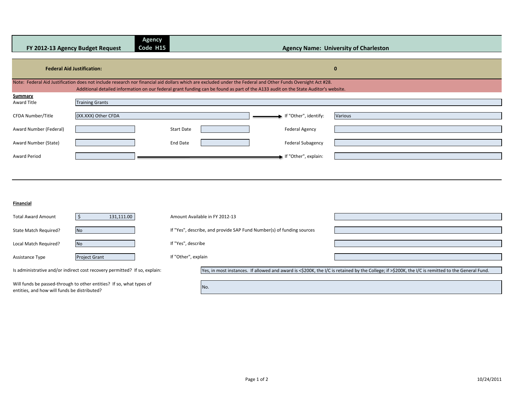|                        | FY 2012-13 Agency Budget Request  | <b>Agency</b><br>Code H15 |                                                                                                                                                                                                                                                                                                    | <b>Agency Name: University of Charleston</b> |
|------------------------|-----------------------------------|---------------------------|----------------------------------------------------------------------------------------------------------------------------------------------------------------------------------------------------------------------------------------------------------------------------------------------------|----------------------------------------------|
|                        | <b>Federal Aid Justification:</b> |                           |                                                                                                                                                                                                                                                                                                    | $\mathbf{0}$                                 |
|                        |                                   |                           | Note: Federal Aid Justification does not include research nor financial aid dollars which are excluded under the Federal and Other Funds Oversight Act #28.<br>Additional detailed information on our federal grant funding can be found as part of the A133 audit on the State Auditor's website. |                                              |
| Summary                |                                   |                           |                                                                                                                                                                                                                                                                                                    |                                              |
| Award Title            | <b>Training Grants</b>            |                           |                                                                                                                                                                                                                                                                                                    |                                              |
| CFDA Number/Title      | (XX.XXX) Other CFDA               |                           | If "Other", identify:                                                                                                                                                                                                                                                                              | Various                                      |
| Award Number (Federal) |                                   | <b>Start Date</b>         | <b>Federal Agency</b>                                                                                                                                                                                                                                                                              |                                              |
| Award Number (State)   |                                   | End Date                  | <b>Federal Subagency</b>                                                                                                                                                                                                                                                                           |                                              |
| <b>Award Period</b>    |                                   |                           | If "Other", explain:                                                                                                                                                                                                                                                                               |                                              |
|                        |                                   |                           |                                                                                                                                                                                                                                                                                                    |                                              |

#### **Financial**

entities, and how will funds be distributed?

| <b>Total Award Amount</b>                                                                                                                                                                                                       | 131,111.00                                                                 | Amount Available in FY 2012-13                                        |                                                                                                                                                   |
|---------------------------------------------------------------------------------------------------------------------------------------------------------------------------------------------------------------------------------|----------------------------------------------------------------------------|-----------------------------------------------------------------------|---------------------------------------------------------------------------------------------------------------------------------------------------|
| State Match Required?                                                                                                                                                                                                           | <b>No</b>                                                                  | If "Yes", describe, and provide SAP Fund Number(s) of funding sources |                                                                                                                                                   |
| Local Match Required?                                                                                                                                                                                                           | <b>No</b>                                                                  | If "Yes", describe                                                    |                                                                                                                                                   |
| Assistance Type                                                                                                                                                                                                                 | <b>Project Grant</b>                                                       | If "Other", explain                                                   |                                                                                                                                                   |
|                                                                                                                                                                                                                                 | Is administrative and/or indirect cost recovery permitted? If so, explain: |                                                                       | Yes, in most instances. If allowed and award is <\$200K, the I/C is retained by the College; if >\$200K, the I/C is remitted to the General Fund. |
| $\sim$ . The state of the state of the state of the state of the state of the state of the state of the state of the state of the state of the state of the state of the state of the state of the state of the state of the st | Will funds be passed-through to other entities? If so, what types of       | No.                                                                   |                                                                                                                                                   |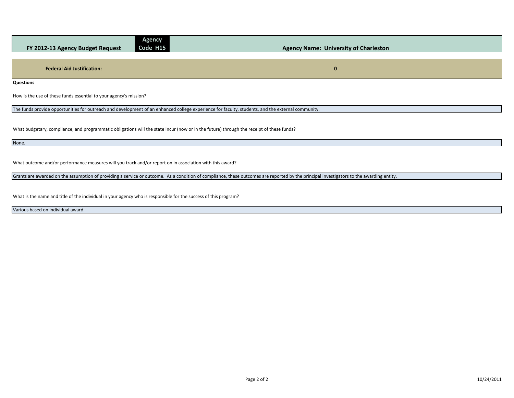| $\mathbf{C}$ - $\mathbf{C}$<br>Code H15<br>FY 2012-13 Agency Budget Request                                                                       | <b>Agency Name: University of Charleston</b> |
|---------------------------------------------------------------------------------------------------------------------------------------------------|----------------------------------------------|
|                                                                                                                                                   |                                              |
| <b>Federal Aid Justification:</b>                                                                                                                 | $\mathbf{0}$                                 |
| Questions                                                                                                                                         |                                              |
| How is the use of these funds essential to your agency's mission?                                                                                 |                                              |
| The funds provide opportunities for outreach and development of an enhanced college experience for faculty, students, and the external community. |                                              |
|                                                                                                                                                   |                                              |

What budgetary, compliance, and programmatic obligations will the state incur (now or in the future) through the receipt of these funds?

**Agency** 

None.

What outcome and/or performance measures will you track and/or report on in association with this award?

Grants are awarded on the assumption of providing a service or outcome. As a condition of compliance, these outcomes are reported by the principal investigators to the awarding entity.

What is the name and title of the individual in your agency who is responsible for the success of this program?

Various based on individual award.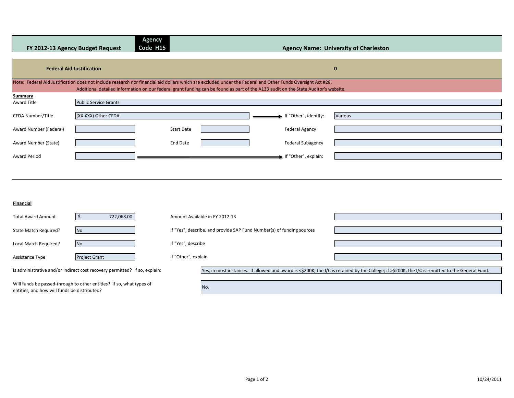|                        | FY 2012-13 Agency Budget Request | <b>Agency</b><br>Code H15 |                                                                                                                                                                                                                                                                                                    | <b>Agency Name: University of Charleston</b> |
|------------------------|----------------------------------|---------------------------|----------------------------------------------------------------------------------------------------------------------------------------------------------------------------------------------------------------------------------------------------------------------------------------------------|----------------------------------------------|
|                        | <b>Federal Aid Justification</b> |                           |                                                                                                                                                                                                                                                                                                    | $\mathbf{0}$                                 |
|                        |                                  |                           | Note: Federal Aid Justification does not include research nor financial aid dollars which are excluded under the Federal and Other Funds Oversight Act #28.<br>Additional detailed information on our federal grant funding can be found as part of the A133 audit on the State Auditor's website. |                                              |
| Summary                |                                  |                           |                                                                                                                                                                                                                                                                                                    |                                              |
| Award Title            | <b>Public Service Grants</b>     |                           |                                                                                                                                                                                                                                                                                                    |                                              |
| CFDA Number/Title      | (XX.XXX) Other CFDA              |                           | If "Other", identify:                                                                                                                                                                                                                                                                              | Various                                      |
| Award Number (Federal) |                                  | <b>Start Date</b>         | <b>Federal Agency</b>                                                                                                                                                                                                                                                                              |                                              |
| Award Number (State)   |                                  | End Date                  | <b>Federal Subagency</b>                                                                                                                                                                                                                                                                           |                                              |
| Award Period           |                                  |                           | If "Other", explain:                                                                                                                                                                                                                                                                               |                                              |
|                        |                                  |                           |                                                                                                                                                                                                                                                                                                    |                                              |

#### **Financial**

entities, and how will funds be distributed?

| <b>Total Award Amount</b>                                                                                                                                                                                                       | 722,068.00                                                                 | Amount Available in FY 2012-13                                        |                                                                                                                                                   |
|---------------------------------------------------------------------------------------------------------------------------------------------------------------------------------------------------------------------------------|----------------------------------------------------------------------------|-----------------------------------------------------------------------|---------------------------------------------------------------------------------------------------------------------------------------------------|
| State Match Required?                                                                                                                                                                                                           | <b>No</b>                                                                  | If "Yes", describe, and provide SAP Fund Number(s) of funding sources |                                                                                                                                                   |
| Local Match Required?                                                                                                                                                                                                           | <b>No</b>                                                                  | If "Yes", describe                                                    |                                                                                                                                                   |
| Assistance Type                                                                                                                                                                                                                 | <b>Project Grant</b>                                                       | If "Other", explain                                                   |                                                                                                                                                   |
|                                                                                                                                                                                                                                 | Is administrative and/or indirect cost recovery permitted? If so, explain: |                                                                       | Yes, in most instances. If allowed and award is <\$200K, the I/C is retained by the College; if >\$200K, the I/C is remitted to the General Fund. |
| $\sim$ . The state of the state of the state of the state of the state of the state of the state of the state of the state of the state of the state of the state of the state of the state of the state of the state of the st | Will funds be passed-through to other entities? If so, what types of       | No.                                                                   |                                                                                                                                                   |